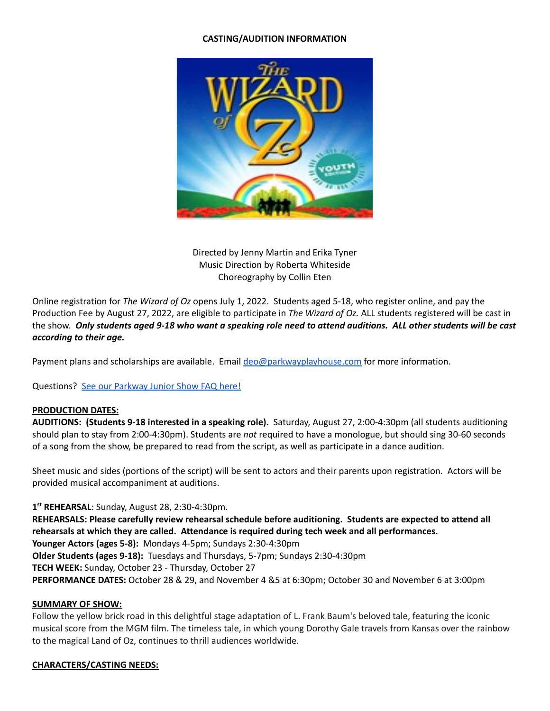# **CASTING/AUDITION INFORMATION**



Directed by Jenny Martin and Erika Tyner Music Direction by Roberta Whiteside Choreography by Collin Eten

Online registration for *The Wizard of Oz* opens July 1, 2022. Students aged 5-18, who register online, and pay the Production Fee by August 27, 2022, are eligible to participate in *The Wizard of Oz.* ALL students registered will be cast in the show. Only students aged 9-18 who want a speaking role need to attend auditions. ALL other students will be cast *according to their age.*

Payment plans and scholarships are available. Email [deo@parkwayplayhouse.com](mailto:deo@parkwayplayhouse.com) for more information.

Questions? See our [Parkway](https://docs.google.com/document/d/1Duq5U49Njc5wgpPCxctg2-0BBs44NeiM55FRtbM8YjY/edit?usp=sharing) Junior Show FAQ here!

# **PRODUCTION DATES:**

**AUDITIONS: (Students 9-18 interested in a speaking role).** Saturday, August 27, 2:00-4:30pm (all students auditioning should plan to stay from 2:00-4:30pm). Students are *not* required to have a monologue, but should sing 30-60 seconds of a song from the show, be prepared to read from the script, as well as participate in a dance audition.

Sheet music and sides (portions of the script) will be sent to actors and their parents upon registration. Actors will be provided musical accompaniment at auditions.

**1 st REHEARSAL**: Sunday, August 28, 2:30-4:30pm. **REHEARSALS: Please carefully review rehearsal schedule before auditioning. Students are expected to attend all rehearsals at which they are called. Attendance is required during tech week and all performances. Younger Actors (ages 5-8):** Mondays 4-5pm; Sundays 2:30-4:30pm **Older Students (ages 9-18):** Tuesdays and Thursdays, 5-7pm; Sundays 2:30-4:30pm **TECH WEEK:** Sunday, October 23 - Thursday, October 27 **PERFORMANCE DATES:** October 28 & 29, and November 4 &5 at 6:30pm; October 30 and November 6 at 3:00pm

### **SUMMARY OF SHOW:**

Follow the yellow brick road in this delightful stage adaptation of L. Frank Baum's beloved tale, featuring the iconic musical score from the MGM film. The timeless tale, in which young Dorothy Gale travels from Kansas over the rainbow to the magical Land of Oz, continues to thrill audiences worldwide.

# **CHARACTERS/CASTING NEEDS:**